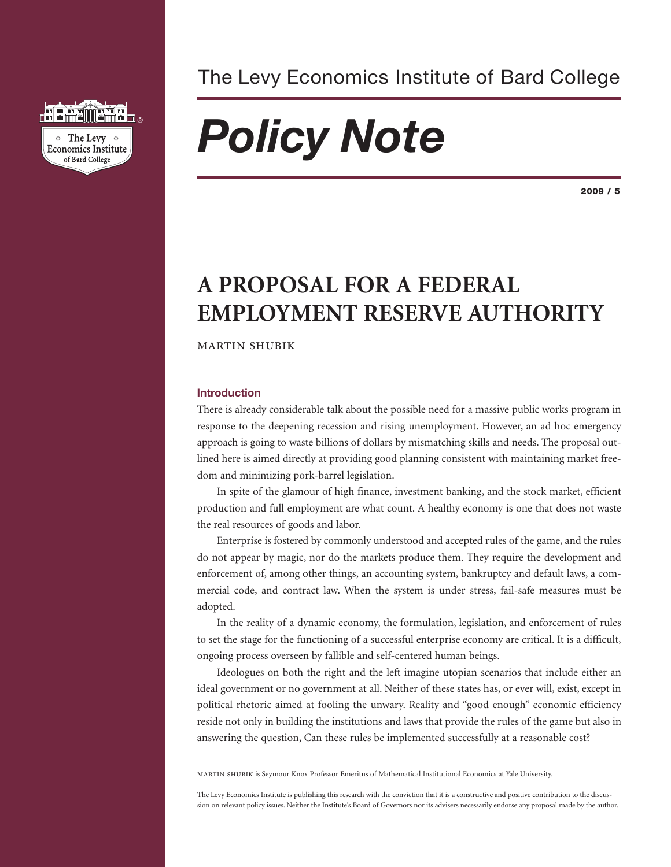

### The Levy Economics Institute of Bard College

# *Policy Note*

**2009 / 5**

## **A PROPOSAL FOR A FEDERAL EMPLOYMENT RESERVE AUTHORITY**

martin shubik

#### **Introduction**

There is already considerable talk about the possible need for a massive public works program in response to the deepening recession and rising unemployment. However, an ad hoc emergency approach is going to waste billions of dollars by mismatching skills and needs. The proposal outlined here is aimed directly at providing good planning consistent with maintaining market freedom and minimizing pork-barrel legislation.

In spite of the glamour of high finance, investment banking, and the stock market, efficient production and full employment are what count. A healthy economy is one that does not waste the real resources of goods and labor.

Enterprise is fostered by commonly understood and accepted rules of the game, and the rules do not appear by magic, nor do the markets produce them. They require the development and enforcement of, among other things, an accounting system, bankruptcy and default laws, a commercial code, and contract law. When the system is under stress, fail-safe measures must be adopted.

In the reality of a dynamic economy, the formulation, legislation, and enforcement of rules to set the stage for the functioning of a successful enterprise economy are critical. It is a difficult, ongoing process overseen by fallible and self-centered human beings.

Ideologues on both the right and the left imagine utopian scenarios that include either an ideal government or no government at all. Neither of these states has, or ever will, exist, except in political rhetoric aimed at fooling the unwary. Reality and "good enough" economic efficiency reside not only in building the institutions and laws that provide the rules of the game but also in answering the question, Can these rules be implemented successfully at a reasonable cost?

martin shubik is Seymour Knox Professor Emeritus of Mathematical Institutional Economics at Yale University.

The Levy Economics Institute is publishing this research with the conviction that it is a constructive and positive contribution to the discussion on relevant policy issues. Neither the Institute's Board of Governors nor its advisers necessarily endorse any proposal made by the author.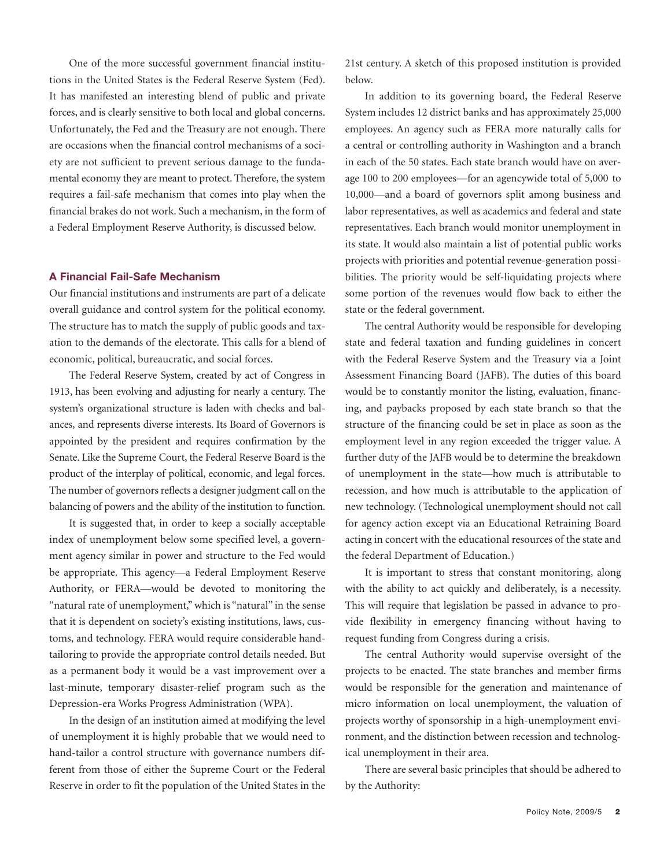One of the more successful government financial institutions in the United States is the Federal Reserve System (Fed). It has manifested an interesting blend of public and private forces, and is clearly sensitive to both local and global concerns. Unfortunately, the Fed and the Treasury are not enough. There are occasions when the financial control mechanisms of a society are not sufficient to prevent serious damage to the fundamental economy they are meant to protect. Therefore, the system requires a fail-safe mechanism that comes into play when the financial brakes do not work. Such a mechanism, in the form of a Federal Employment Reserve Authority, is discussed below.

#### **A Financial Fail-Safe Mechanism**

Our financial institutions and instruments are part of a delicate overall guidance and control system for the political economy. The structure has to match the supply of public goods and taxation to the demands of the electorate. This calls for a blend of economic, political, bureaucratic, and social forces.

The Federal Reserve System, created by act of Congress in 1913, has been evolving and adjusting for nearly a century. The system's organizational structure is laden with checks and balances, and represents diverse interests. Its Board of Governors is appointed by the president and requires confirmation by the Senate. Like the Supreme Court, the Federal Reserve Board is the product of the interplay of political, economic, and legal forces. The number of governors reflects a designer judgment call on the balancing of powers and the ability of the institution to function.

It is suggested that, in order to keep a socially acceptable index of unemployment below some specified level, a government agency similar in power and structure to the Fed would be appropriate. This agency—a Federal Employment Reserve Authority, or FERA—would be devoted to monitoring the "natural rate of unemployment," which is "natural" in the sense that it is dependent on society's existing institutions, laws, customs, and technology. FERA would require considerable handtailoring to provide the appropriate control details needed. But as a permanent body it would be a vast improvement over a last-minute, temporary disaster-relief program such as the Depression-era Works Progress Administration (WPA).

In the design of an institution aimed at modifying the level of unemployment it is highly probable that we would need to hand-tailor a control structure with governance numbers different from those of either the Supreme Court or the Federal Reserve in order to fit the population of the United States in the

21st century. A sketch of this proposed institution is provided below.

In addition to its governing board, the Federal Reserve System includes 12 district banks and has approximately 25,000 employees. An agency such as FERA more naturally calls for a central or controlling authority in Washington and a branch in each of the 50 states. Each state branch would have on average 100 to 200 employees—for an agencywide total of 5,000 to 10,000—and a board of governors split among business and labor representatives, as well as academics and federal and state representatives. Each branch would monitor unemployment in its state. It would also maintain a list of potential public works projects with priorities and potential revenue-generation possibilities. The priority would be self-liquidating projects where some portion of the revenues would flow back to either the state or the federal government.

The central Authority would be responsible for developing state and federal taxation and funding guidelines in concert with the Federal Reserve System and the Treasury via a Joint Assessment Financing Board (JAFB). The duties of this board would be to constantly monitor the listing, evaluation, financing, and paybacks proposed by each state branch so that the structure of the financing could be set in place as soon as the employment level in any region exceeded the trigger value. A further duty of the JAFB would be to determine the breakdown of unemployment in the state—how much is attributable to recession, and how much is attributable to the application of new technology. (Technological unemployment should not call for agency action except via an Educational Retraining Board acting in concert with the educational resources of the state and the federal Department of Education.)

It is important to stress that constant monitoring, along with the ability to act quickly and deliberately, is a necessity. This will require that legislation be passed in advance to provide flexibility in emergency financing without having to request funding from Congress during a crisis.

The central Authority would supervise oversight of the projects to be enacted. The state branches and member firms would be responsible for the generation and maintenance of micro information on local unemployment, the valuation of projects worthy of sponsorship in a high-unemployment environment, and the distinction between recession and technological unemployment in their area.

There are several basic principles that should be adhered to by the Authority: